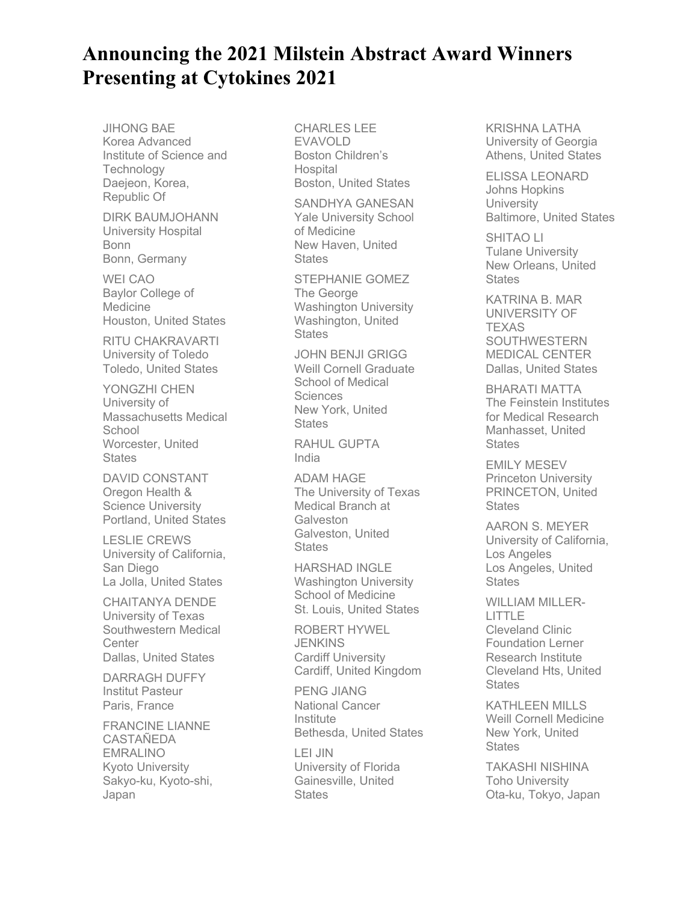## **Announcing the 2021 Milstein Abstract Award Winners Presenting at Cytokines 2021**

JIHONG BAE Korea Advanced Institute of Science and **Technology** Daejeon, Korea, Republic Of

DIRK BAUMJOHANN University Hospital Bonn Bonn, Germany

WEI CAO Baylor College of Medicine Houston, United States

RITU CHAKRAVARTI University of Toledo Toledo, United States

YONGZHI CHEN University of Massachusetts Medical **School** Worcester, United **States** 

DAVID CONSTANT Oregon Health & Science University Portland, United States

LESLIE CREWS University of California, San Diego La Jolla, United States

CHAITANYA DENDE University of Texas Southwestern Medical **Center** Dallas, United States

DARRAGH DUFFY Institut Pasteur Paris, France

FRANCINE LIANNE **CASTAÑEDA** EMRALINO Kyoto University Sakyo-ku, Kyoto-shi, Japan

CHARLES LEE EVAVOLD Boston Children's **Hospital** Boston, United States

SANDHYA GANESAN Yale University School of Medicine New Haven, United **States** 

STEPHANIE GOMEZ The George Washington University Washington, United **States** 

JOHN BENJI GRIGG Weill Cornell Graduate School of Medical **Sciences** New York, United **States** 

RAHUL GUPTA India

ADAM HAGE The University of Texas Medical Branch at **Galveston** Galveston, United **States** 

HARSHAD INGLE Washington University School of Medicine St. Louis, United States

ROBERT HYWEL **JENKINS** Cardiff University Cardiff, United Kingdom

PENG JIANG National Cancer Institute Bethesda, United States

LEI JIN University of Florida Gainesville, United **States** 

KRISHNA LATHA University of Georgia Athens, United States

ELISSA LEONARD Johns Hopkins **University** Baltimore, United States

SHITAO LI Tulane University New Orleans, United **States** 

KATRINA B. MAR UNIVERSITY OF **TEXAS** SOUTHWESTERN MEDICAL CENTER Dallas, United States

BHARATI MATTA The Feinstein Institutes for Medical Research Manhasset, United **States** 

EMILY MESEV Princeton University PRINCETON, United **States** 

AARON S. MEYER University of California, Los Angeles Los Angeles, United **States** 

WILLIAM MILLER-LITTLE Cleveland Clinic Foundation Lerner Research Institute Cleveland Hts, United **States** 

KATHLEEN MILLS Weill Cornell Medicine New York, United **States** 

TAKASHI NISHINA Toho University Ota-ku, Tokyo, Japan